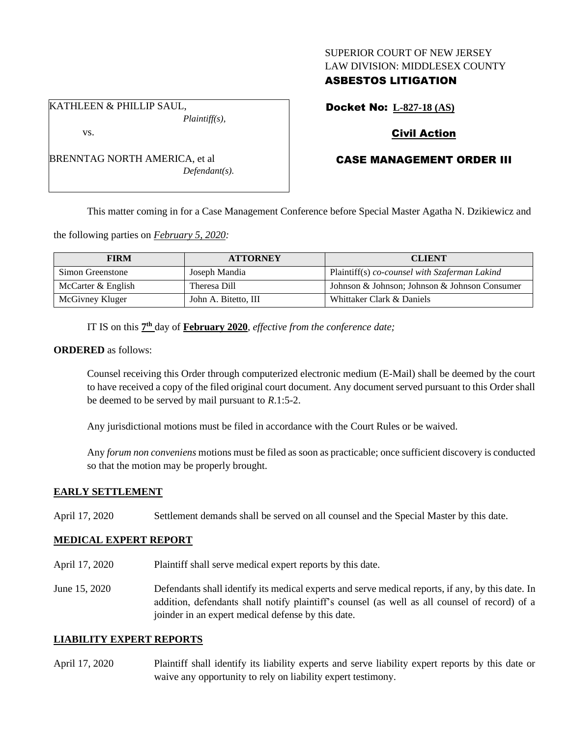### SUPERIOR COURT OF NEW JERSEY LAW DIVISION: MIDDLESEX COUNTY

# ASBESTOS LITIGATION

Docket No: **L-827-18 (AS)**

# Civil Action

# CASE MANAGEMENT ORDER III

This matter coming in for a Case Management Conference before Special Master Agatha N. Dzikiewicz and

the following parties on *February 5, 2020:*

| <b>FIRM</b>        | <b>ATTORNEY</b>      | <b>CLIENT</b>                                 |
|--------------------|----------------------|-----------------------------------------------|
| Simon Greenstone   | Joseph Mandia        | Plaintiff(s) co-counsel with Szaferman Lakind |
| McCarter & English | Theresa Dill         | Johnson & Johnson; Johnson & Johnson Consumer |
| McGivney Kluger    | John A. Bitetto, III | Whittaker Clark & Daniels                     |

IT IS on this  $7<sup>th</sup>$  day of **February 2020**, *effective from the conference date*;

### **ORDERED** as follows:

Counsel receiving this Order through computerized electronic medium (E-Mail) shall be deemed by the court to have received a copy of the filed original court document. Any document served pursuant to this Order shall be deemed to be served by mail pursuant to *R*.1:5-2.

Any jurisdictional motions must be filed in accordance with the Court Rules or be waived.

Any *forum non conveniens* motions must be filed as soon as practicable; once sufficient discovery is conducted so that the motion may be properly brought.

## **EARLY SETTLEMENT**

April 17, 2020 Settlement demands shall be served on all counsel and the Special Master by this date.

## **MEDICAL EXPERT REPORT**

- April 17, 2020 Plaintiff shall serve medical expert reports by this date.
- June 15, 2020 Defendants shall identify its medical experts and serve medical reports, if any, by this date. In addition, defendants shall notify plaintiff's counsel (as well as all counsel of record) of a joinder in an expert medical defense by this date.

### **LIABILITY EXPERT REPORTS**

April 17, 2020 Plaintiff shall identify its liability experts and serve liability expert reports by this date or waive any opportunity to rely on liability expert testimony.

*Plaintiff(s),* vs.

KATHLEEN & PHILLIP SAUL,

BRENNTAG NORTH AMERICA, et al *Defendant(s).*